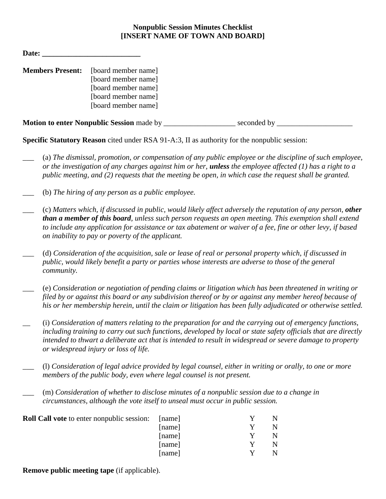## **Nonpublic Session Minutes Checklist [INSERT NAME OF TOWN AND BOARD]**

| Date:                   |                                                                                                                 |             |  |
|-------------------------|-----------------------------------------------------------------------------------------------------------------|-------------|--|
| <b>Members Present:</b> | [board member name]<br>[board member name]<br>[board member name]<br>[board member name]<br>[board member name] |             |  |
|                         | <b>Motion to enter Nonpublic Session made by __________</b>                                                     | seconded by |  |

**Specific Statutory Reason** cited under RSA 91-A:3, II as authority for the nonpublic session:

- \_\_\_ (a) *The dismissal, promotion, or compensation of any public employee or the discipline of such employee, or the investigation of any charges against him or her, unless the employee affected (1) has a right to a public meeting, and (2) requests that the meeting be open, in which case the request shall be granted.*
- \_\_\_ (b) *The hiring of any person as a public employee.*
- \_\_\_ (c) *Matters which, if discussed in public, would likely affect adversely the reputation of any person, other than a member of this board, unless such person requests an open meeting. This exemption shall extend to include any application for assistance or tax abatement or waiver of a fee, fine or other levy, if based on inability to pay or poverty of the applicant.*
- \_\_\_ (d) *Consideration of the acquisition, sale or lease of real or personal property which, if discussed in public, would likely benefit a party or parties whose interests are adverse to those of the general community.*
- \_\_\_ (e) *Consideration or negotiation of pending claims or litigation which has been threatened in writing or filed by or against this board or any subdivision thereof or by or against any member hereof because of his or her membership herein, until the claim or litigation has been fully adjudicated or otherwise settled.*
- \_\_ (i) *Consideration of matters relating to the preparation for and the carrying out of emergency functions, including training to carry out such functions, developed by local or state safety officials that are directly intended to thwart a deliberate act that is intended to result in widespread or severe damage to property or widespread injury or loss of life.*
- \_\_\_ (l) *Consideration of legal advice provided by legal counsel, either in writing or orally, to one or more members of the public body, even where legal counsel is not present.*
	- \_\_\_ (m) *Consideration of whether to disclose minutes of a nonpublic session due to a change in circumstances, although the vote itself to unseal must occur in public session.*

| <b>Roll Call vote</b> to enter nonpublic session: [name] |        |  |
|----------------------------------------------------------|--------|--|
|                                                          | [name] |  |
|                                                          | [name] |  |
|                                                          | [name] |  |
|                                                          | [name] |  |

**Remove public meeting tape** (if applicable).